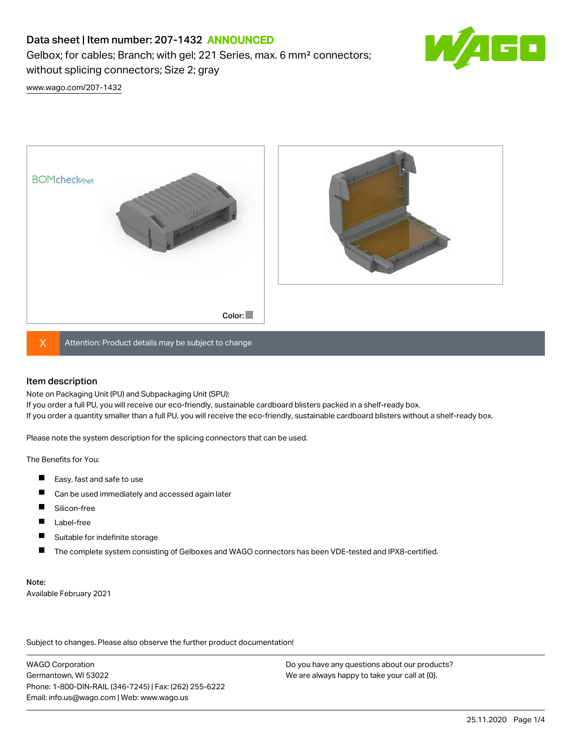# Data sheet | Item number: 207-1432 ANNOUNCED

Gelbox; for cables; Branch; with gel; 221 Series, max. 6 mm² connectors; without splicing connectors; Size 2; gray



[www.wago.com/207-1432](http://www.wago.com/207-1432)



 $X$  Attention: Product details may be subject to change

#### Item description

Note on Packaging Unit (PU) and Subpackaging Unit (SPU):

If you order a full PU, you will receive our eco-friendly, sustainable cardboard blisters packed in a shelf-ready box. If you order a quantity smaller than a full PU, you will receive the eco-friendly, sustainable cardboard blisters without a shelf-ready box.

Please note the system description for the splicing connectors that can be used.

The Benefits for You:

- $\blacksquare$ Easy, fast and safe to use
- $\blacksquare$ Can be used immediately and accessed again later
- $\blacksquare$ Silicon-free
- $\blacksquare$ Label-free
- П Suitable for indefinite storage
- П The complete system consisting of Gelboxes and WAGO connectors has been VDE-tested and IPX8-certified.

#### Note:

Available February 2021

Subject to changes. Please also observe the further product documentation! Data

WAGO Corporation Germantown, WI 53022 Phone: 1-800-DIN-RAIL (346-7245) | Fax: (262) 255-6222 Email: info.us@wago.com | Web: www.wago.us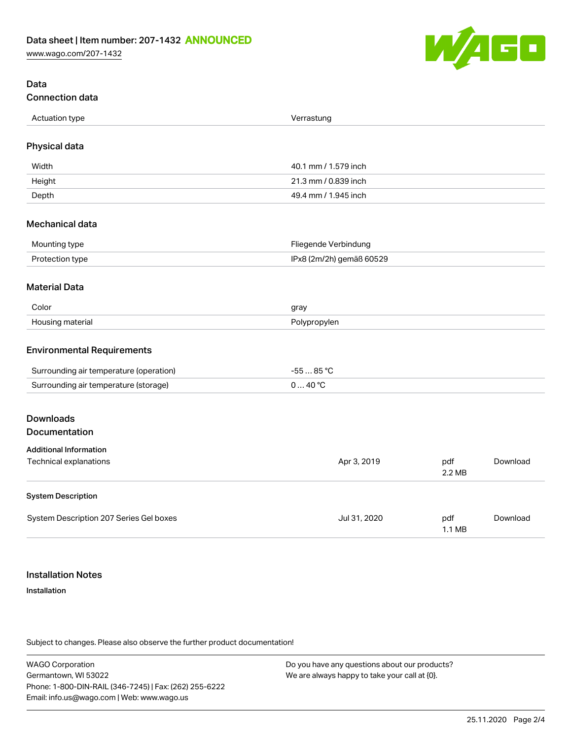[www.wago.com/207-1432](http://www.wago.com/207-1432)



## Data Connection data

| Actuation type   |            |
|------------------|------------|
| . . <del>.</del> | Verrastung |
| . .              |            |
|                  |            |
|                  |            |

## Physical data

| Width  | 40.1 mm / 1.579 inch |
|--------|----------------------|
| Height | 21.3 mm / 0.839 inch |
| Depth  | 49.4 mm / 1.945 inch |

#### Mechanical data

| Mounting type   | Fliegende Verbindung     |
|-----------------|--------------------------|
| Protection type | IPx8 (2m/2h) gemäß 60529 |

#### Material Data

| Color                 | nray         |
|-----------------------|--------------|
| Housing r<br>materiai | Polypropylen |

#### Environmental Requirements

| Surrounding air temperature (operation) | $.85^{\circ}$ |
|-----------------------------------------|---------------|
| Surrounding air temperature (storage)   | ⊿റ ∘ $\cap$   |

# Downloads

## Documentation

| <b>Additional Information</b>           |              |                         |          |
|-----------------------------------------|--------------|-------------------------|----------|
| Technical explanations                  | Apr 3, 2019  | pdf<br>2.2 MB           | Download |
| <b>System Description</b>               |              |                         |          |
| System Description 207 Series Gel boxes | Jul 31, 2020 | pdf<br>$1.1 \text{ MB}$ | Download |

## Installation Notes

#### Installation

Subject to changes. Please also observe the further product documentation!

WAGO Corporation Germantown, WI 53022 Phone: 1-800-DIN-RAIL (346-7245) | Fax: (262) 255-6222 Email: info.us@wago.com | Web: www.wago.us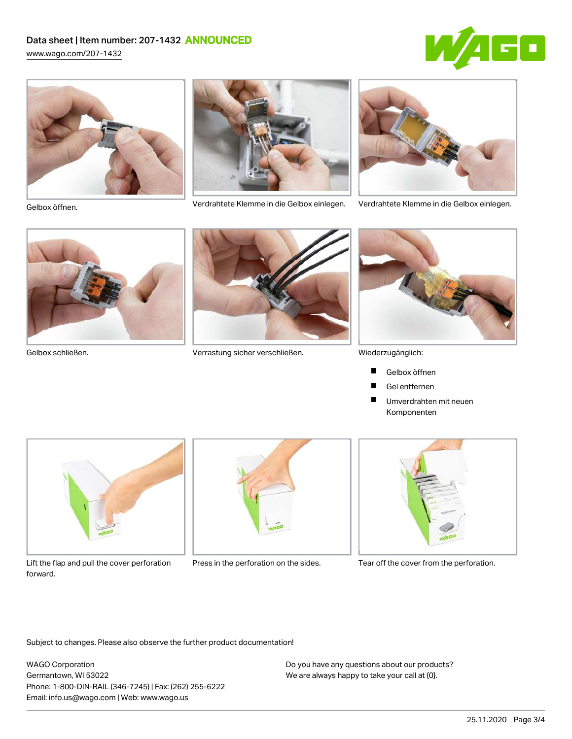# Data sheet | Item number: 207-1432 ANNOUNCED

[www.wago.com/207-1432](http://www.wago.com/207-1432)







Verdrahtete Klemme in die Gelbox einlegen. Verdrahtete Klemme in die Gelbox einlegen. Gelbox öffnen.







Gelbox schließen. Verrastung sicher verschließen.



Wiederzugänglich:

- Gelbox öffnen П
- Gel entfernen **The Second Service**
- $\blacksquare$ Umverdrahten mit neuen Komponenten



Lift the flap and pull the cover perforation Press in the perforation on the sides. Tear off the cover from the perforation. forward.





Subject to changes. Please also observe the further product documentation!

WAGO Corporation Germantown, WI 53022 Phone: 1-800-DIN-RAIL (346-7245) | Fax: (262) 255-6222 Email: info.us@wago.com | Web: www.wago.us